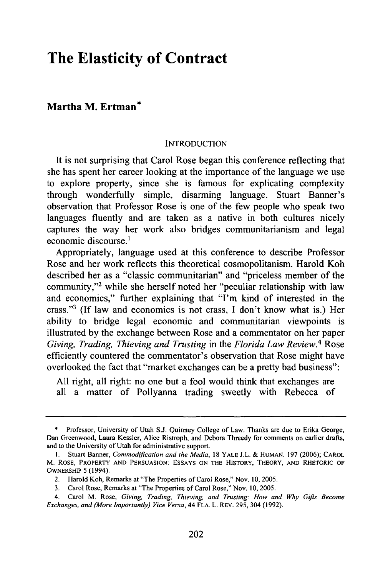# **The Elasticity of Contract**

# **Martha M. Ertman\***

#### INTRODUCTION

It is not surprising that Carol Rose began this conference reflecting that she has spent her career looking at the importance of the language we use to explore property, since she is famous for explicating complexity through wonderfully simple, disarming language. Stuart Banner's observation that Professor Rose is one of the few people who speak two languages fluently and are taken as a native in both cultures nicely captures the way her work also bridges communitarianism and legal economic discourse.'

Appropriately, language used at this conference to describe Professor Rose and her work reflects this theoretical cosmopolitanism. Harold Koh described her as a "classic communitarian" and "priceless member of the community,"2 while she herself noted her "peculiar relationship with law and economics," further explaining that "I'm kind of interested in the crass."<sup>3</sup> (If law and economics is not crass, I don't know what is.) Her ability to bridge legal economic and communitarian viewpoints is illustrated by the exchange between Rose and a commentator on her paper *Giving, Trading, Thieving and Trusting* in the *Florida Law Review.4* Rose efficiently countered the commentator's observation that Rose might have overlooked the fact that "market exchanges can be a pretty bad business":

All right, all right: no one but a fool would think that exchanges are all a matter of Pollyanna trading sweetly with Rebecca of

<sup>\*</sup> Professor, University of Utah S.J. Quinney College of Law. Thanks are due to Erika George, Dan Greenwood, Laura Kessler, Alice Ristroph, and Debora Threedy for comments on earlier drafts, and to the University of Utah for administrative support.

**<sup>1.</sup>** Stuart Banner, *Commodification and the Media,* 18 YALE J.L. & HUMAN. 197 (2006); CAROL M. ROSE, PROPERTY AND PERSUASION: ESSAYS ON THE HISTORY, THEORY, AND RHETORIC OF OWNERSHIP 5 (1994).

<sup>2.</sup> Harold Koh, Remarks at "The Properties of Carol Rose," Nov. 10, 2005.

<sup>3.</sup> Carol Rose, Remarks at "The Properties of Carol Rose," Nov. 10, 2005.

<sup>4.</sup> Carol M. Rose, *Giving, Trading, Thieving, and Trusting: How and Why Gifts Become Exchanges, and (More Importantly) Vice Versa,* 44 FLA. L. REV. 295, 304 (1992).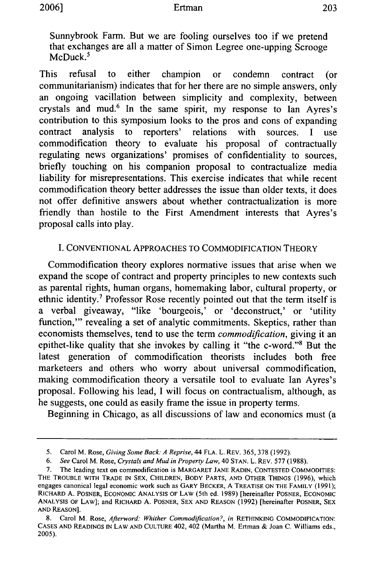Sunnybrook Farm. But we are fooling ourselves too if we pretend that exchanges are all a matter of Simon Legree one-upping Scrooge McDuck.<sup>5</sup>

This refusal to either champion or condemn contract (or communitarianism) indicates that for her there are no simple answers, only an ongoing vacillation between simplicity and complexity, between crystals and mud.6 In the same spirit, my response to Ian Ayres's contribution to this symposium looks to the pros and cons of expanding contract analysis to reporters' relations with sources. I use commodification theory to evaluate his proposal of contractually regulating news organizations' promises of confidentiality to sources, briefly touching on his companion proposal to contractualize media liability for misrepresentations. This exercise indicates that while recent commodification theory better addresses the issue than older texts, it does not offer definitive answers about whether contractualization is more friendly than hostile to the First Amendment interests that Ayres's proposal calls into play.

### I. CONVENTIONAL APPROACHES TO COMMODIFICATION THEORY

Commodification theory explores normative issues that arise when we expand the scope of contract and property principles to new contexts such as parental rights, human organs, homemaking labor, cultural property, or ethnic identity.7 Professor Rose recently pointed out that the term itself is a verbal giveaway, "like 'bourgeois,' or 'deconstruct,' or 'utility function," revealing a set of analytic commitments. Skeptics, rather than economists themselves, tend to use the term *commodification,* giving it an epithet-like quality that she invokes by calling it "the c-word."8 But the latest generation of commodification theorists includes both free marketeers and others who worry about universal commodification, making commodification theory a versatile tool to evaluate Ian Ayres's proposal. Following his lead, I will focus on contractualism, although, as he suggests, one could as easily frame the issue in property terms.

Beginning in Chicago, as all discussions of law and economics must (a

<sup>5.</sup> Carol M. Rose, *Giving Some Back A Reprise,* 44 FLA. L. REV. 365, 378 (1992).

*<sup>6.</sup> See* Carol M. Rose, *Crystals and Mud in Property Law,* 40 STAN. L. REV. 577 (1988).

<sup>7.</sup> The leading text on commodification is MARGARET JANE RADIN, CONTESTED COMMODITIES: THE TROUBLE WITH TRADE **IN** SEX, CHILDREN, BODY PARTS, AND OTHER THINGS (1996), which engages canonical legal economic work such as GARY BECKER, A TREATISE ON THE FAMILY (1991); RICHARD A. POSNER, ECONOMIC ANALYSIS OF LAW (5th ed. 1989) [hereinafter POSNER, ECONOMIC ANALYSIS OF LAW]; and RICHARD A. POSNER, SEX AND REASON (1992) [hereinafter POSNER, SEX **AND** REASON].

<sup>8.</sup> Carol M. Rose, *Afterword. Whither Commodification?, in* RETHINKING COMMODIFICATION: CASES AND READINGS IN LAW AND CULTURE 402, 402 (Martha M. Ertman & Joan C. Williams eds., 2005).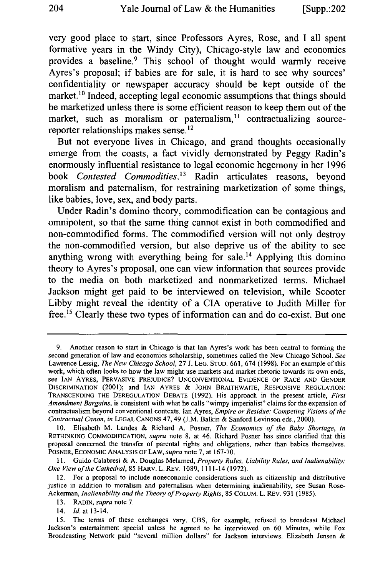very good place to start, since Professors Ayres, Rose, and **I** all spent formative years in the Windy City), Chicago-style law and economics provides a baseline.9 This school of thought would warmly receive Ayres's proposal; if babies are for sale, it is hard to see why sources' confidentiality or newspaper accuracy should be kept outside of the market.<sup>10</sup> Indeed, accepting legal economic assumptions that things should be marketized unless there is some efficient reason to keep them out of the market, such as moralism or paternalism, $11$  contractualizing sourcereporter relationships makes sense.<sup>12</sup>

But not everyone lives in Chicago, and grand thoughts occasionally emerge from the coasts, a fact vividly demonstrated **by** Peggy Radin's enormously influential resistance to legal economic hegemony in her **1996** book *Contested Commodities.3* Radin articulates reasons, beyond moralism and paternalism, for restraining marketization of some things, like babies, love, sex, and body parts.

Under Radin's domino theory, commodification can be contagious and omnipotent, so that the same thing cannot exist in both commodified and non-commodified forms. The commodified version will not only destroy the non-commodified version, but also deprive us of the ability to see anything wrong with everything being for sale.<sup>14</sup> Applying this domino theory to Ayres's proposal, one can view information that sources provide to the media on both marketized and nonmarketized terms. Michael Jackson might get paid to be interviewed on television, while Scooter **Libby** might reveal the identity of a **CIA** operative to Judith Miller for free.<sup>15</sup> Clearly these two types of information can and do co-exist. But one

14. *Id.* at 13-14.

**<sup>9.</sup>** Another reason to start in Chicago is that Ian Ayres's work has been central to forming the second generation of law and economics scholarship, sometimes called the New Chicago School. *See* Lawrence Lessig, *The New Chicago School,* **27 J. LEG. STUD. 661,** 674 **(1998).** For an example of this work, which often looks to how the law might use markets and market rhetoric towards its own ends, see IAN AYRES, PERVASIVE **PREJUDICE? UNCONVENTIONAL EVIDENCE** OF RACE **AND GENDER** DISCRIMINATION (2001); and **IAN** AYRES **& JOHN** BRAITHWAITE, **RESPONSIVE REGULATION:** TRANSCENDING THE DEREGULATION **DEBATE (1992).** His approach in the present article, *First Amendment Bargains,* is consistent with what he calls "wimpy imperialist" claims for the expansion of contractualism beyond conventional contexts. Ian Ayres, *Empire or Residue: Competing Visions of the Contractual Canon, in* **LEGAL** CANONS 47, 49 **(J.M.** Balkin **&** Sanford Levinson eds., 2000).

**<sup>10.</sup>** Elisabeth M. Landes **&** Richard **A.** Posner, *The Economics of the Baby Shortage, in* RETHINKING **COMMODIFICATION,** *supra* note **8,** at 46. Richard Posner has since clarified that this proposal concerned the transfer of parental rights and obligations, rather than babies themselves. POSNER, ECONOMIC **ANALYSIS** OF LAW, *supra* note **7,** at **167-70.**

**<sup>11.</sup>** Guido Calabresi **& A.** Douglas Melamed, *Property Rules, Liability Rules, and Inalienability: One View of the Cathedral,* **85** HARV. L. REV. 1089, 1111-14 **(1972).**

<sup>12.</sup> For a proposal to include noneconomic considerations such as citizenship and distributive justice in addition to moralism and paternalism when determining inalienability, see Susan Rose-Ackerman, *Inalienability and the Theory of Property Rights,* **85 COLUM.** L. REV. **931 (1985).**

**<sup>13.</sup>** RADIN, *supra* note **7.**

**<sup>15.</sup>** The terms of these exchanges vary. **CBS,** for example, refused to broadcast Michael Jackson's entertainment special unless he agreed **to** be interviewed on **60** Minutes, while Fox Broadcasting Network paid "several million dollars" for Jackson interviews. Elizabeth Jensen **&**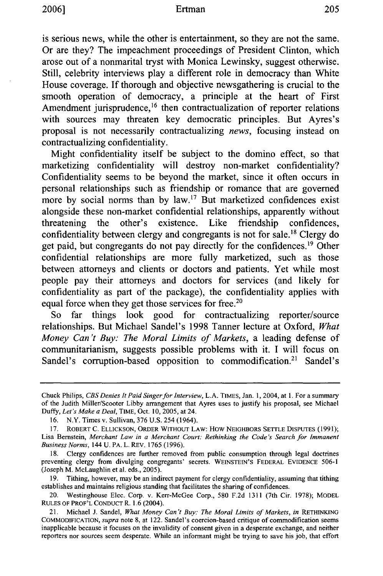is serious news, while the other is entertainment, so they are not the same. Or are they? The impeachment proceedings of President Clinton, which arose out of a nonmarital tryst with Monica Lewinsky, suggest otherwise. Still, celebrity interviews play a different role in democracy than White House coverage. If thorough and objective newsgathering is crucial to the smooth operation of democracy, a principle at the heart of First Amendment jurisprudence,<sup>16</sup> then contractualization of reporter relations with sources may threaten key democratic principles. But Ayres's proposal is not necessarily contractualizing *news,* focusing instead on contractualizing confidentiality.

Might confidentiality itself be subject to the domino effect, so that marketizing confidentiality will destroy non-market confidentiality? Confidentiality seems to be beyond the market, since it often occurs in personal relationships such as friendship or romance that are governed more by social norms than by law.'7 But marketized confidences exist alongside these non-market confidential relationships, apparently without threatening the other's existence. Like friendship confidences, confidentiality between clergy and congregants is not for sale.<sup>18</sup> Clergy do get paid, but congregants do not pay directly for the confidences.<sup>19</sup> Other confidential relationships are more fully marketized, such as those between attorneys and clients or doctors and patients. Yet while most people pay their attorneys and doctors for services (and likely for confidentiality as part of the package), the confidentiality applies with equal force when they get those services for free.<sup>21</sup>

So far things look good for contractualizing reporter/source relationships. But Michael Sandel's 1998 Tanner lecture at Oxford, *What Money Can't Buy: The Moral Limits of Markets,* a leading defense of communitarianism, suggests possible problems with it. I will focus on Sandel's corruption-based opposition to commodification.<sup>21</sup> Sandel's

Chuck Philips, *CBS Denies It Paid Singer for Interview,* L.A. TIMES, Jan. 1, 2004, at **1.** For a summary of the Judith Miller/Scooter Libby arrangement that Ayres uses to justify his proposal, see Michael Duffy, *Let's Make a Deal,* TIME, Oct. 10, 2005, at 24.

<sup>16.</sup> N.Y. Times v. Sullivan, 376 U.S. 254 (1964).

<sup>17.</sup> ROBERT C. ELLICKSON, ORDER WITHOUT LAW: How NEIGHBORS SETTLE DISPUTES (1991); Lisa Bernstein, *Merchant Law in a Merchant Court: Rethinking the Code's Search for Immanent Business Nlorms,* 144 U. PA. L. REV. 1765 (1996).

<sup>18.</sup> Clergy confidences are further removed from public consumption through legal doctrines preventing clergy from divulging congregants' secrets. WEINSTEIN'S FEDERAL EVIDENCE 506-1 (Joseph M. McLaughlin et al. eds., 2005).

<sup>19.</sup> Tithing, however, may be an indirect payment for clergy confidentiality, assuming that tithing establishes and maintains religious standing that facilitates the sharing of confidences.

<sup>20.</sup> Westinghouse Elec. Corp. v. Kerr-McGee Corp., 580 F.2d 1311 (7th Cir. 1978); MODEL RULES OF PROF'L CONDUCT R. 1.6 (2004).

<sup>21.</sup> Michael J. Sandel, *What Money Can't Buy: The Moral Limits of Markets, in* RETHINKING **COMMODIFICATION,** *supra* note 8, at 122. Sandel's coercion-based critique of commodification seems inapplicable because it focuses on the invalidity of consent given in a desperate exchange, and neither reporters nor sources seem desperate. While an informant might be trying to save his job, that effort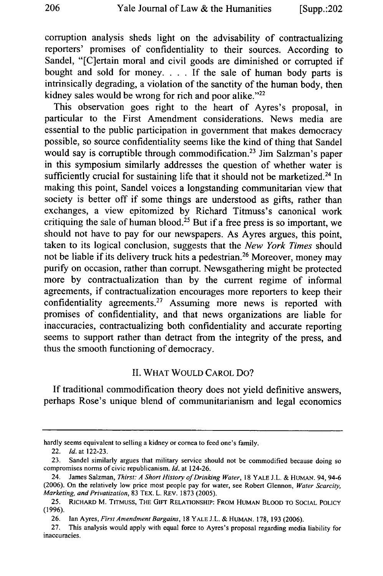corruption analysis sheds light on the advisability of contractualizing reporters' promises of confidentiality to their sources. According to Sandel, "[C]ertain moral and civil goods are diminished or corrupted if bought and sold for money. . **.** .If the sale of human body parts is intrinsically degrading, a violation of the sanctity of the human body, then kidney sales would be wrong for rich and poor alike." $22$ 

This observation goes right to the heart of Ayres's proposal, in particular to the First Amendment considerations. News media are essential to the public participation in government that makes democracy possible, so source confidentiality seems like the kind of thing that Sandel would say is corruptible through commodification.<sup>23</sup> Jim Salzman's paper in this symposium similarly addresses the question of whether water is sufficiently crucial for sustaining life that it should not be marketized.<sup>24</sup> In making this point, Sandel voices a longstanding communitarian view that society is better off if some things are understood as gifts, rather than exchanges, a view epitomized by Richard Titmuss's canonical work critiquing the sale of human blood.<sup>25</sup> But if a free press is so important, we should not have to pay for our newspapers. As Ayres argues, this point, taken to its logical conclusion, suggests that the *New York Times* should not be liable if its delivery truck hits a pedestrian.<sup>26</sup> Moreover, money may purify on occasion, rather than corrupt. Newsgathering might be protected more by contractualization than by the current regime of informal agreements, if contractualization encourages more reporters to keep their confidentiality agreements.27 Assuming more news is reported with promises of confidentiality, and that news organizations are liable for inaccuracies, contractualizing both confidentiality and accurate reporting seems to support rather than detract from the integrity of the press, and thus the smooth functioning of democracy.

#### II. WHAT WOULD CAROL Do?

If traditional commodification theory does not yield definitive answers, perhaps Rose's unique blend of communitarianism and legal economics

hardly seems equivalent to selling a kidney or cornea to feed one's family.

<sup>22.</sup> *Id.* at 122-23.

<sup>23.</sup> Sandel similarly argues that military service should not be commodified because doing so compromises norms of civic republicanism. *Id.* at 124-26.

<sup>24.</sup> James Salzman, *Thirst: A Short History of Drinking Water,* 18 YALE **J.L.** & HUMAN. 94, 94-6 (2006). On the relatively low price most people pay for water, see Robert Glennon, *Water Scarcity, Marketing, and Privatization,* 83 TEX. L. REv. 1873 (2005).

<sup>25.</sup> RICHARD M. TITMUSs, THE GIFT RELATIONSHIP: FROM HUMAN BLOOD TO SOCIAL POLICY (1996).

<sup>26.</sup> *lan* Ayres, *First Amendment Bargains,* 18 YALE J.L. & HUMAN. 178, 193 (2006).

<sup>27.</sup> This analysis would apply with equal force to Ayres's proposal regarding media liability for inaccuracies.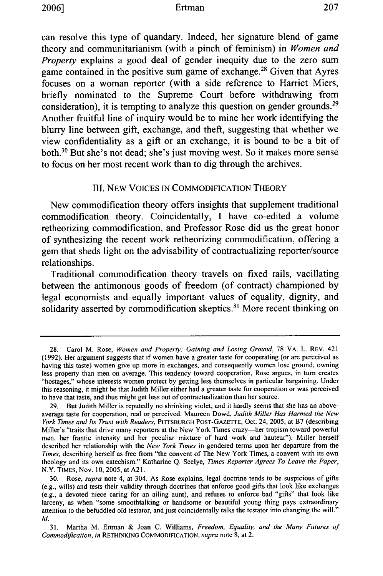#### Ertman

can resolve this type of quandary. Indeed, her signature blend of game theory and communitarianism (with a pinch of feminism) in *Women and Property* explains a good deal of gender inequity due to the zero sum game contained in the positive sum game of exchange. 28 Given that Ayres focuses on a woman reporter (with a side reference to Harriet Miers, briefly nominated to the Supreme Court before withdrawing from consideration), it is tempting to analyze this question on gender grounds.<sup>29</sup> Another fruitful line of inquiry would be to mine her work identifying the blurry line between gift, exchange, and theft, suggesting that whether we view confidentiality as a gift or an exchange, it is bound to be a bit of both.<sup>30</sup> But she's not dead; she's just moving west. So it makes more sense to focus on her most recent work than to dig through the archives.

## III. NEW VOICES IN COMMODIFICATION THEORY

New commodification theory offers insights that supplement traditional commodification theory. Coincidentally, **I** have co-edited a volume retheorizing commodification, and Professor Rose did us the great honor of synthesizing the recent work retheorizing commodification, offering a gem that sheds light on the advisability of contractualizing reporter/source relationships.

Traditional commodification theory travels on fixed rails, vacillating between the antimonous goods of freedom (of contract) championed **by** legal economists and equally important values of equality, dignity, and solidarity asserted by commodification skeptics.<sup>31</sup> More recent thinking on

31. Martha M. Ertman & Joan C. Williams, *Freedom, Equality, and the Many Futures of Commodification, in* RETHINKING COMMODIFICATION, *supra* note 8, at 2.

<sup>28.</sup> Carol M. Rose, *Women and Property: Gaining and Losing Ground,* 78 VA. L. REv. 421 (1992). Her argument suggests that if women have a greater taste for cooperating (or are perceived as having this taste) women give up more in exchanges, and consequently women lose ground, owning less property than men on average. This tendency toward cooperation, Rose argues, in turn creates "hostages," whose interests women protect by getting less themselves in particular bargaining. Under this reasoning, it might be that Judith Miller either had a greater taste for cooperation or was perceived to have that taste, and thus might get less out of contractualization than her source.

<sup>29.</sup> But Judith Miller is reputedly no shrinking violet, and it hardly seems that she has an aboveaverage taste for cooperation, real or perceived. Maureen Dowd, *Judith Miller Has Harmed the New York Times and Its Trust with Readers,* PITTSBURGH POST-GAZETrE, Oct. 24, 2005, at B7 (describing Miller's "traits that drive many reporters at the New York Times crazy-her tropism toward powerful men, her frantic intensity and her peculiar mixture of hard work and hauteur"). Miller herself described her relationship with the *New York Times* in gendered terms upon her departure from the *Times,* describing herself as free from "the convent of The New York Times, a convent with its own theology and its own catechism." Katharine *Q.* Seelye, *Times Reporter Agrees To Leave the Paper,* N.Y. TIMES, Nov. 10, 2005, at A21.

<sup>30.</sup> Rose, *supra* note 4, at 304. As Rose explains, legal doctrine tends to be suspicious of gifts (e.g., wills) and tests their validity through doctrines that enforce good gifts that look like exchanges (e.g., a devoted niece caring for an ailing aunt), and refuses to enforce bad "gifts" that look like larceny, as when "some smoothtalking or handsome or beautiful young thing pays extraordinary attention to the befuddled old testator, and just coincidentally talks the testator into changing the will." *Id.*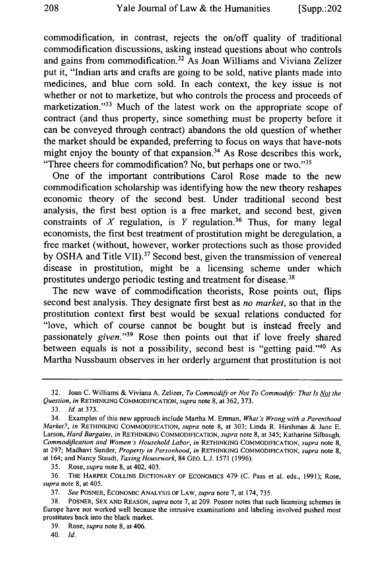commodification, in contrast, rejects the on/off quality of traditional commodification discussions, asking instead questions about who controls and gains from commodification.<sup>32</sup> As Joan Williams and Viviana Zelizer put it, "Indian arts and crafts are going to be sold, native plants made into medicines, and blue corn sold. In each context, the key issue is not whether or not to marketize, but who controls the process and proceeds of marketization."<sup>33</sup> Much of the latest work on the appropriate scope of contract (and thus property, since something must be property before it can be conveyed through contract) abandons the old question of whether the market should be expanded, preferring to focus on ways that have-nots might enjoy the bounty of that expansion.<sup>34</sup> As Rose describes this work, "Three cheers for commodification? No, but perhaps one or two."<sup>35</sup>

One of the important contributions Carol Rose made to the new commodification scholarship was identifying how the new theory reshapes economic theory of the second best. Under traditional second best analysis, the first best option is a free market, and second best, given constraints of X regulation, is Y regulation.<sup>36</sup> Thus, for many legal economists, the first best treatment of prostitution might be deregulation, a free market (without, however, worker protections such as those provided by OSHA and Title VII).<sup>37</sup> Second best, given the transmission of venereal disease in prostitution, might be a licensing scheme under which prostitutes undergo periodic testing and treatment for disease.<sup>38</sup>

The new wave of commodification theorists, Rose points out, flips second best analysis. They designate first best as *no market,* so that in the prostitution context first best would be sexual relations conducted for "love, which of course cannot be bought but is instead freely and passionately *given."39* Rose then points out that if love freely shared between equals is not a possibility, second best is "getting paid."<sup>40</sup> As Martha Nussbaum observes in her orderly argument that prostitution is not

35. Rose, *supra* note 8, at 402, 403.

39. Rose, *supra* note 8, at 406.

40. *Id.*

<sup>32.</sup> Joan C. Williams & Viviana A. Zelizer, *To Commodify or Not To Commodify: That Is Not the Question, in* RETHINKING COMMODIFICATION, *supra* note 8, at 362, 373.

<sup>33.</sup> *Id.* at 373.

<sup>34.</sup> Examples of this new approach include Martha M. Ertman, *What's Wrong with a Parenthood Market?, in* RETHINKING COMMODIFICATION, *supra* note 8, at 303; Linda R. Hirshman & Jane **E.** Larson, *Hard Bargains, in* RETHINKING COMMODIFICATION, *supra* note **8,** at 345; Katharine Silbaugh, *Commodification and Women's Household Labor, in* RETHINKING COMMODIFICATION, *supra* note 8, at 297; Madhavi Sunder, *Property in Personhood, in* RETHINKING COMMODIFICATION, *supra* note 8, at 164; and Nancy Staudt, *Taxing Housework,* 84 GEO. L.J. 1571 (1996).

<sup>36.</sup> THE HARPER COLLINS DICTIONARY OF ECONOMICS 479 (C. Pass et al. eds., 1991); Rose, *supra* note 8, at 405.

<sup>37.</sup> *See* POSNER, ECONOMIC ANALYSIS OF LAW, *supra* note 7, at 174, 735.

<sup>38.</sup> POSNER, SEX AND REASON, *supra* note 7, at 209. Posner notes that such licensing schemes in Europe have not worked well because the intrusive examinations and labeling involved pushed most prostitutes back into the black market.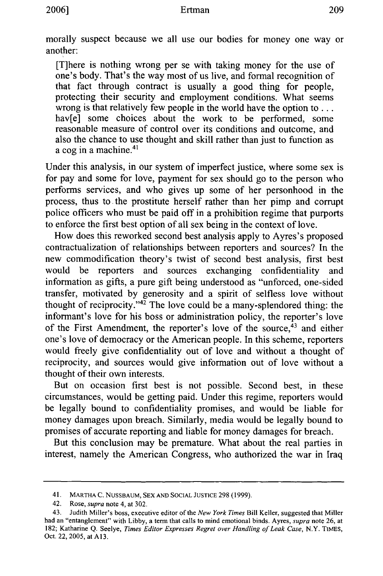morally suspect because we all use our bodies for money one way or another:

[T]here is nothing wrong per se with taking money for the use of one's body. That's the way most of us live, and formal recognition of that fact through contract is usually a good thing for people, protecting their security and employment conditions. What seems wrong is that relatively few people in the world have the option **to...** hav<sup>[e]</sup> some choices about the work to be performed, some reasonable measure of control over its conditions and outcome, and also the chance to use thought and skill rather than just to function as a cog in a machine.<sup>41</sup>

Under this analysis, in our system of imperfect justice, where some sex is for pay and some for love, payment for sex should go to the person who performs services, and who gives up some of her personhood in the process, thus to the prostitute herself rather than her pimp and corrupt police officers who must be paid off in a prohibition regime that purports to enforce the first best option of all sex being in the context of love.

How does this reworked second best analysis apply to Ayres's proposed contractualization of relationships between reporters and sources? In the new commodification theory's twist of second best analysis, first best would be reporters and sources exchanging confidentiality and information as gifts, a pure gift being understood as "unforced, one-sided transfer, motivated by generosity and a spirit of selfless love without thought of reciprocity." $42$  The love could be a many-splendored thing: the informant's love for his boss or administration policy, the reporter's love of the First Amendment, the reporter's love of the source,<sup>43</sup> and either one's love of democracy or the American people. In this scheme, reporters would freely give confidentiality out of love and without a thought of reciprocity, and sources would give information out of love without a thought of their own interests.

But on occasion first best is not possible. Second best, in these circumstances, would be getting paid. Under this regime, reporters would be legally bound to confidentiality promises, and would be liable for money damages upon breach. Similarly, media would be legally bound to promises of accurate reporting and liable for money damages for breach.

But this conclusion may be premature. What about the real parties in interest, namely the American Congress, who authorized the war in Iraq

<sup>41.</sup> MARTHA C. NUSSBAUM, SEX AND SOCIAL JUSTICE **298** (1999).

<sup>42.</sup> Rose, *supra* note 4, at 302.

*<sup>43.</sup>* Judith Miller's boss, executive editor of the *New York Times* Bill Keller, suggested that Miller had an "entanglement" with Libby, a term that calls to mind emotional binds. Ayres, *supra* note 26, at 182; Katharine Q. Seelye, *Times Editor Expresses Regret over Handling of Leak Case,* N.Y. TIMES, Oct. 22, 2005, at A13.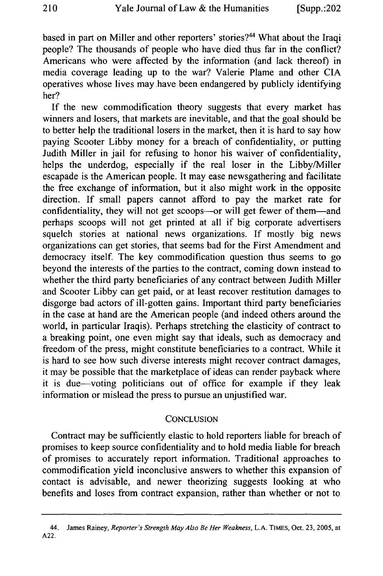based in part on Miller and other reporters' stories?<sup>44</sup> What about the Iraqi people? The thousands of people who have died thus far in the conflict? Americans who were affected by the information (and lack thereof) in media coverage leading up to the war? Valerie Plame and other CIA operatives whose lives may have been endangered by publicly identifying her?

If the new commodification theory suggests that every market has winners and losers, that markets are inevitable, and that the goal should be to better help the traditional losers in the market, then it is hard to say how paying Scooter Libby money for a breach of confidentiality, or putting Judith Miller in jail for refusing to honor his waiver of confidentiality, helps the underdog, especially if the real loser in the Libby/Miller escapade is the American people. It may ease newsgathering and facilitate the free exchange of information, but it also might work in the opposite direction. If small papers cannot afford to pay the market rate for confidentiality, they will not get scoops---or will get fewer of them-and perhaps scoops will not get printed at all if big corporate advertisers squelch stories at national news organizations. If mostly big news organizations can get stories, that seems bad for the First Amendment and democracy itself. The key commodification question thus seems to go beyond the interests of the parties to the contract, coming down instead to whether the third party beneficiaries of any contract between Judith Miller and Scooter Libby can get paid, or at least recover restitution damages to disgorge bad actors of ill-gotten gains. Important third party beneficiaries in the case at hand are the American people (and indeed others around the world, in particular Iraqis). Perhaps stretching the elasticity of contract to a breaking point, one even might say that ideals, such as democracy and freedom of the press, might constitute beneficiaries to a contract. While it is hard to see how such diverse interests might recover contract damages, it may be possible that the marketplace of ideas can render payback where it is due-voting politicians out of office for example if they leak information or mislead the press to pursue an unjustified war.

#### **CONCLUSION**

Contract may be sufficiently elastic to hold reporters liable for breach of promises to keep source confidentiality and to hold media liable for breach of promises to accurately report information. Traditional approaches to commodification yield inconclusive answers to whether this expansion of contact is advisable, and newer theorizing suggests looking at who benefits and loses from contract expansion, rather than whether or not to

<sup>44.</sup> James Rainey, *Reporter's Strength May Also Be Her Weakness,* L.A. TIMES, Oct. 23, 2005, at A22.